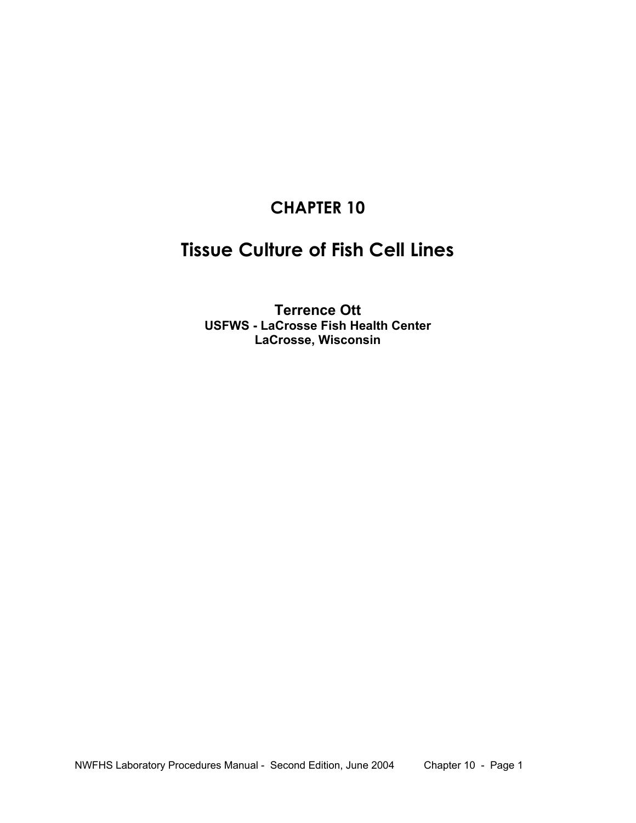# **CHAPTER 10**

# **Tissue Culture of Fish Cell Lines**

**Terrence Ott USFWS - LaCrosse Fish Health Center LaCrosse, Wisconsin**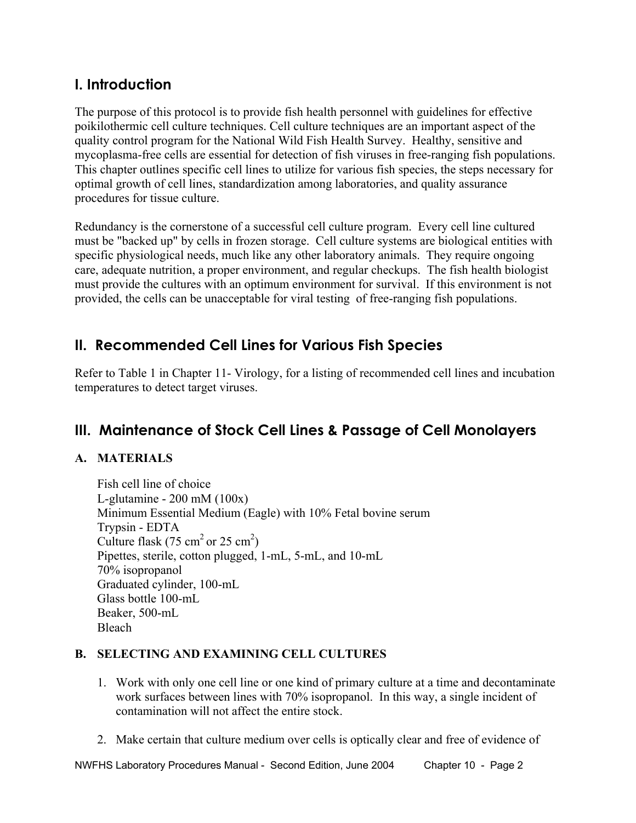## **I. Introduction**

The purpose of this protocol is to provide fish health personnel with guidelines for effective poikilothermic cell culture techniques. Cell culture techniques are an important aspect of the quality control program for the National Wild Fish Health Survey. Healthy, sensitive and mycoplasma-free cells are essential for detection of fish viruses in free-ranging fish populations. This chapter outlines specific cell lines to utilize for various fish species, the steps necessary for optimal growth of cell lines, standardization among laboratories, and quality assurance procedures for tissue culture.

Redundancy is the cornerstone of a successful cell culture program. Every cell line cultured must be "backed up" by cells in frozen storage. Cell culture systems are biological entities with specific physiological needs, much like any other laboratory animals. They require ongoing care, adequate nutrition, a proper environment, and regular checkups. The fish health biologist must provide the cultures with an optimum environment for survival. If this environment is not provided, the cells can be unacceptable for viral testing of free-ranging fish populations.

## **II. Recommended Cell Lines for Various Fish Species**

Refer to Table 1 in Chapter 11- Virology, for a listing of recommended cell lines and incubation temperatures to detect target viruses.

## **III. Maintenance of Stock Cell Lines & Passage of Cell Monolayers**

## **A. MATERIALS**

 Fish cell line of choice L-glutamine - 200 mM (100x) Minimum Essential Medium (Eagle) with 10% Fetal bovine serum Trypsin - EDTA Culture flask (75 cm<sup>2</sup> or 25 cm<sup>2</sup>) Pipettes, sterile, cotton plugged, 1-mL, 5-mL, and 10-mL 70% isopropanol Graduated cylinder, 100-mL Glass bottle 100-mL Beaker, 500-mL Bleach

### **B. SELECTING AND EXAMINING CELL CULTURES**

- 1. Work with only one cell line or one kind of primary culture at a time and decontaminate work surfaces between lines with 70% isopropanol. In this way, a single incident of contamination will not affect the entire stock.
- 2. Make certain that culture medium over cells is optically clear and free of evidence of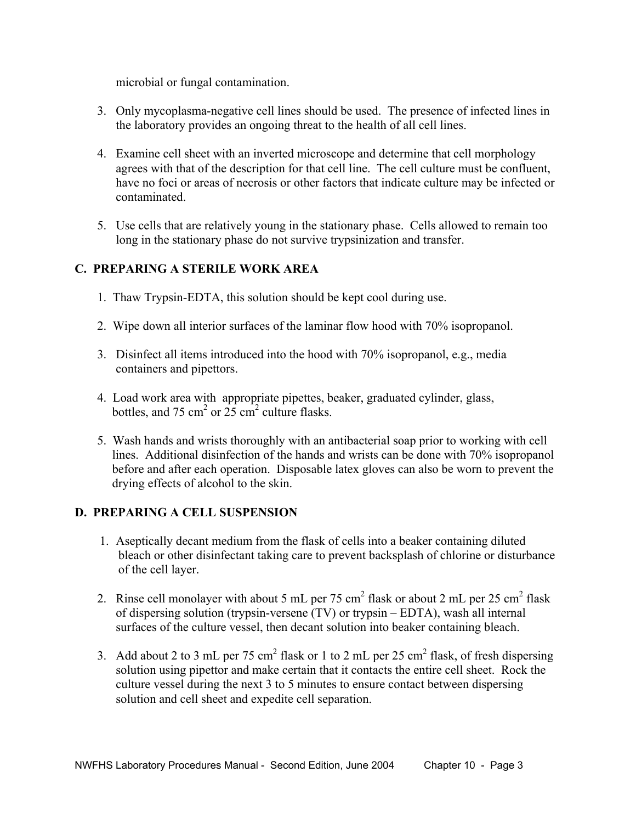microbial or fungal contamination.

- 3. Only mycoplasma-negative cell lines should be used. The presence of infected lines in the laboratory provides an ongoing threat to the health of all cell lines.
- 4. Examine cell sheet with an inverted microscope and determine that cell morphology agrees with that of the description for that cell line. The cell culture must be confluent, have no foci or areas of necrosis or other factors that indicate culture may be infected or contaminated.
- 5. Use cells that are relatively young in the stationary phase. Cells allowed to remain too long in the stationary phase do not survive trypsinization and transfer.

## **C. PREPARING A STERILE WORK AREA**

- 1. Thaw Trypsin-EDTA, this solution should be kept cool during use.
- 2. Wipe down all interior surfaces of the laminar flow hood with 70% isopropanol.
- 3. Disinfect all items introduced into the hood with 70% isopropanol, e.g., media containers and pipettors.
- 4. Load work area with appropriate pipettes, beaker, graduated cylinder, glass, bottles, and 75 cm<sup>2</sup> or  $25 \text{ cm}^2$  culture flasks.
- 5. Wash hands and wrists thoroughly with an antibacterial soap prior to working with cell lines. Additional disinfection of the hands and wrists can be done with 70% isopropanol before and after each operation. Disposable latex gloves can also be worn to prevent the drying effects of alcohol to the skin.

### **D. PREPARING A CELL SUSPENSION**

- 1. Aseptically decant medium from the flask of cells into a beaker containing diluted bleach or other disinfectant taking care to prevent backsplash of chlorine or disturbance of the cell layer.
- 2. Rinse cell monolayer with about 5 mL per 75 cm<sup>2</sup> flask or about 2 mL per 25 cm<sup>2</sup> flask of dispersing solution (trypsin-versene (TV) or trypsin – EDTA), wash all internal surfaces of the culture vessel, then decant solution into beaker containing bleach.
- 3. Add about 2 to 3 mL per 75 cm<sup>2</sup> flask or 1 to 2 mL per 25 cm<sup>2</sup> flask, of fresh dispersing solution using pipettor and make certain that it contacts the entire cell sheet. Rock the culture vessel during the next 3 to 5 minutes to ensure contact between dispersing solution and cell sheet and expedite cell separation.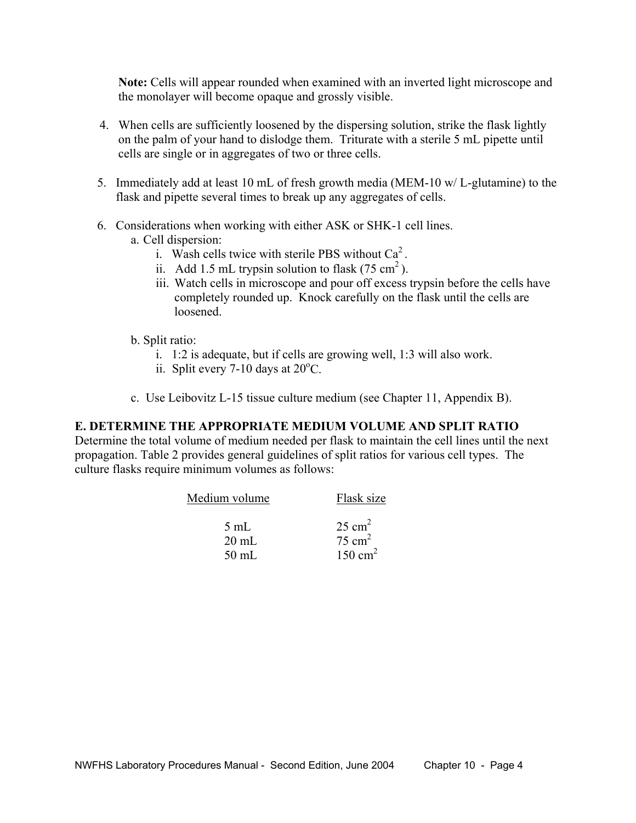**Note:** Cells will appear rounded when examined with an inverted light microscope and the monolayer will become opaque and grossly visible.

- 4. When cells are sufficiently loosened by the dispersing solution, strike the flask lightly on the palm of your hand to dislodge them. Triturate with a sterile 5 mL pipette until cells are single or in aggregates of two or three cells.
- 5. Immediately add at least 10 mL of fresh growth media (MEM-10 w/ L-glutamine) to the flask and pipette several times to break up any aggregates of cells.
- 6. Considerations when working with either ASK or SHK-1 cell lines.
	- a. Cell dispersion:
		- i. Wash cells twice with sterile PBS without  $Ca<sup>2</sup>$ .
		- ii. Add 1.5 mL trypsin solution to flask  $(75 \text{ cm}^2)$ .
		- iii. Watch cells in microscope and pour off excess trypsin before the cells have completely rounded up. Knock carefully on the flask until the cells are loosened.
	- b. Split ratio:
		- i. 1:2 is adequate, but if cells are growing well, 1:3 will also work.
- ii. Split every 7-10 days at  $20^{\circ}$ C.
	- c. Use Leibovitz L-15 tissue culture medium (see Chapter 11, Appendix B).

### **E. DETERMINE THE APPROPRIATE MEDIUM VOLUME AND SPLIT RATIO**

Determine the total volume of medium needed per flask to maintain the cell lines until the next propagation. Table 2 provides general guidelines of split ratios for various cell types. The culture flasks require minimum volumes as follows:

| Medium volume   | Flask size         |  |
|-----------------|--------------------|--|
| $5 \text{ mL}$  | $25 \text{ cm}^2$  |  |
| $20 \text{ mL}$ | $75 \text{ cm}^2$  |  |
| $50 \text{ mL}$ | $150 \text{ cm}^2$ |  |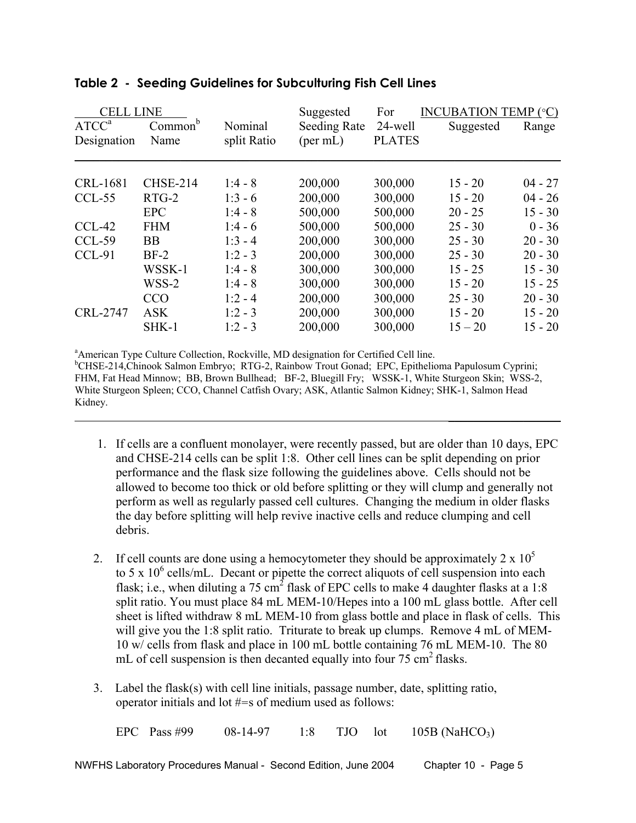| <b>CELL LINE</b><br>ATCC <sup>a</sup><br>Designation | Common <sup>b</sup><br>Name | Nominal<br>split Ratio | Suggested<br><b>Seeding Rate</b><br>$(\text{per mL})$ | For<br>24-well<br><b>PLATES</b> | <b>INCUBATION TEMP (°C)</b><br>Suggested | Range     |
|------------------------------------------------------|-----------------------------|------------------------|-------------------------------------------------------|---------------------------------|------------------------------------------|-----------|
| CRL-1681                                             | <b>CHSE-214</b>             | $1:4 - 8$              | 200,000                                               | 300,000                         | $15 - 20$                                | $04 - 27$ |
| $CCL-55$                                             | $RTG-2$                     | $1:3 - 6$              | 200,000                                               | 300,000                         | $15 - 20$                                | $04 - 26$ |
|                                                      | <b>EPC</b>                  | $1:4 - 8$              | 500,000                                               | 500,000                         | $20 - 25$                                | $15 - 30$ |
| $CCL-42$                                             | <b>FHM</b>                  | $1:4-6$                | 500,000                                               | 500,000                         | $25 - 30$                                | $0 - 36$  |
| CCL-59                                               | <b>BB</b>                   | $1:3 - 4$              | 200,000                                               | 300,000                         | $25 - 30$                                | $20 - 30$ |
| CCL-91                                               | $BF-2$                      | $1:2 - 3$              | 200,000                                               | 300,000                         | $25 - 30$                                | $20 - 30$ |
|                                                      | WSSK-1                      | $1:4 - 8$              | 300,000                                               | 300,000                         | $15 - 25$                                | $15 - 30$ |
|                                                      | WSS-2                       | $1:4 - 8$              | 300,000                                               | 300,000                         | $15 - 20$                                | $15 - 25$ |
|                                                      | <b>CCO</b>                  | $1:2 - 4$              | 200,000                                               | 300,000                         | $25 - 30$                                | $20 - 30$ |
| CRL-2747                                             | <b>ASK</b>                  | $1:2 - 3$              | 200,000                                               | 300,000                         | $15 - 20$                                | $15 - 20$ |
|                                                      | $SHK-1$                     | $1:2 - 3$              | 200,000                                               | 300,000                         | $15 - 20$                                | $15 - 20$ |

#### **Table 2 - Seeding Guidelines for Subculturing Fish Cell Lines**

 a American Type Culture Collection, Rockville, MD designation for Certified Cell line. <sup>b</sup>CHSE-214,Chinook Salmon Embryo; RTG-2, Rainbow Trout Gonad; EPC, Epithelioma Papulosum Cyprini; FHM, Fat Head Minnow; BB, Brown Bullhead; BF-2, Bluegill Fry; WSSK-1, White Sturgeon Skin; WSS-2, White Sturgeon Spleen; CCO, Channel Catfish Ovary; ASK, Atlantic Salmon Kidney; SHK-1, Salmon Head Kidney.  $\mathcal{L}_\text{max}$  and  $\mathcal{L}_\text{max}$  are the set of the set of the set of the set of the set of the set of the set of the set of the set of the set of the set of the set of the set of the set of the set of the set of the set o

- 1. If cells are a confluent monolayer, were recently passed, but are older than 10 days, EPC and CHSE-214 cells can be split 1:8. Other cell lines can be split depending on prior performance and the flask size following the guidelines above. Cells should not be allowed to become too thick or old before splitting or they will clump and generally not perform as well as regularly passed cell cultures. Changing the medium in older flasks the day before splitting will help revive inactive cells and reduce clumping and cell debris.
- 2. If cell counts are done using a hemocytometer they should be approximately  $2 \times 10^5$ to 5 x  $10^6$  cells/mL. Decant or pipette the correct aliquots of cell suspension into each flask; i.e., when diluting a 75 cm<sup>2</sup> flask of EPC cells to make 4 daughter flasks at a 1:8 split ratio. You must place 84 mL MEM-10/Hepes into a 100 mL glass bottle. After cell sheet is lifted withdraw 8 mL MEM-10 from glass bottle and place in flask of cells. This will give you the 1:8 split ratio. Triturate to break up clumps. Remove 4 mL of MEM-10 w/ cells from flask and place in 100 mL bottle containing 76 mL MEM-10. The 80 mL of cell suspension is then decanted equally into four  $75 \text{ cm}^2$  flasks.
- 3. Label the flask(s) with cell line initials, passage number, date, splitting ratio, operator initials and lot #=s of medium used as follows:

EPC Pass #99 08-14-97 1:8 TJO lot 105B (NaHCO<sub>3</sub>)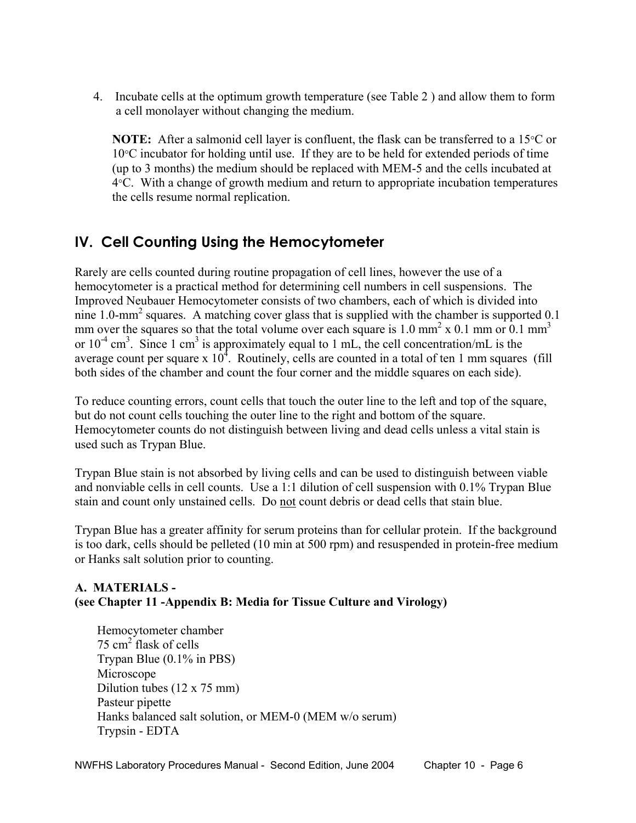4. Incubate cells at the optimum growth temperature (see Table 2 ) and allow them to form a cell monolayer without changing the medium.

**NOTE:** After a salmonid cell layer is confluent, the flask can be transferred to a 15<sup>o</sup>C or 10°C incubator for holding until use. If they are to be held for extended periods of time (up to 3 months) the medium should be replaced with MEM-5 and the cells incubated at 4°C. With a change of growth medium and return to appropriate incubation temperatures the cells resume normal replication.

## **IV. Cell Counting Using the Hemocytometer**

Rarely are cells counted during routine propagation of cell lines, however the use of a hemocytometer is a practical method for determining cell numbers in cell suspensions. The Improved Neubauer Hemocytometer consists of two chambers, each of which is divided into nine 1.0-mm<sup>2</sup> squares. A matching cover glass that is supplied with the chamber is supported 0.1 mm over the squares so that the total volume over each square is  $1.0 \text{ mm}^2 \times 0.1 \text{ mm}$  or  $0.1 \text{ mm}^3$ or  $10^{-4}$  cm<sup>3</sup>. Since 1 cm<sup>3</sup> is approximately equal to 1 mL, the cell concentration/mL is the average count per square x  $10<sup>4</sup>$ . Routinely, cells are counted in a total of ten 1 mm squares (fill both sides of the chamber and count the four corner and the middle squares on each side).

To reduce counting errors, count cells that touch the outer line to the left and top of the square, but do not count cells touching the outer line to the right and bottom of the square. Hemocytometer counts do not distinguish between living and dead cells unless a vital stain is used such as Trypan Blue.

Trypan Blue stain is not absorbed by living cells and can be used to distinguish between viable and nonviable cells in cell counts. Use a 1:1 dilution of cell suspension with 0.1% Trypan Blue stain and count only unstained cells. Do not count debris or dead cells that stain blue.

Trypan Blue has a greater affinity for serum proteins than for cellular protein. If the background is too dark, cells should be pelleted (10 min at 500 rpm) and resuspended in protein-free medium or Hanks salt solution prior to counting.

## **A. MATERIALS - (see Chapter 11 -Appendix B: Media for Tissue Culture and Virology)**

 Hemocytometer chamber 75 cm<sup>2</sup> flask of cells Trypan Blue (0.1% in PBS) Microscope Dilution tubes (12 x 75 mm) Pasteur pipette Hanks balanced salt solution, or MEM-0 (MEM w/o serum) Trypsin - EDTA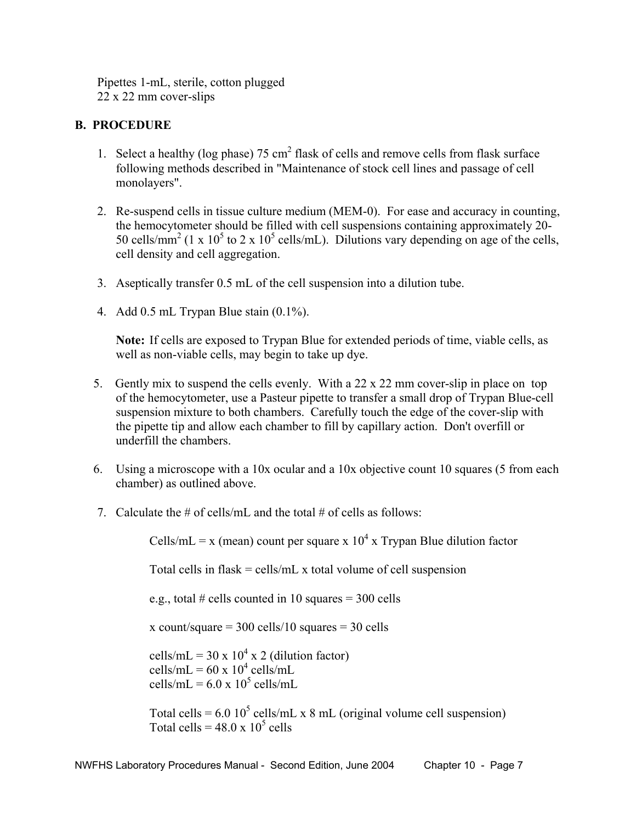Pipettes 1-mL, sterile, cotton plugged 22 x 22 mm cover-slips

### **B. PROCEDURE**

- 1. Select a healthy ( $log phase$ ) 75 cm<sup>2</sup> flask of cells and remove cells from flask surface following methods described in "Maintenance of stock cell lines and passage of cell monolayers".
	- 2. Re-suspend cells in tissue culture medium (MEM-0). For ease and accuracy in counting, the hemocytometer should be filled with cell suspensions containing approximately 20- 50 cells/mm<sup>2</sup> (1 x 10<sup>5</sup> to 2 x 10<sup>5</sup> cells/mL). Dilutions vary depending on age of the cells, cell density and cell aggregation.
	- 3. Aseptically transfer 0.5 mL of the cell suspension into a dilution tube.
	- 4. Add 0.5 mL Trypan Blue stain (0.1%).

 **Note:** If cells are exposed to Trypan Blue for extended periods of time, viable cells, as well as non-viable cells, may begin to take up dye.

- 5. Gently mix to suspend the cells evenly. With a 22 x 22 mm cover-slip in place on top of the hemocytometer, use a Pasteur pipette to transfer a small drop of Trypan Blue-cell suspension mixture to both chambers. Carefully touch the edge of the cover-slip with the pipette tip and allow each chamber to fill by capillary action. Don't overfill or underfill the chambers.
- 6. Using a microscope with a 10x ocular and a 10x objective count 10 squares (5 from each chamber) as outlined above.
- 7. Calculate the  $\#$  of cells/mL and the total  $\#$  of cells as follows:

Cells/mL = x (mean) count per square x  $10^4$  x Trypan Blue dilution factor

Total cells in flask = cells/mL x total volume of cell suspension

e.g., total # cells counted in 10 squares =  $300$  cells

x count/square  $= 300$  cells/10 squares  $= 30$  cells

cells/mL =  $30 \times 10^4 \times 2$  (dilution factor) cells/mL =  $60 \times 10^4$  cells/mL cells/mL =  $6.0 \times 10^5$  cells/mL

Total cells =  $6.0 10^5$  cells/mL x 8 mL (original volume cell suspension) Total cells =  $48.0 \times 10^5$  cells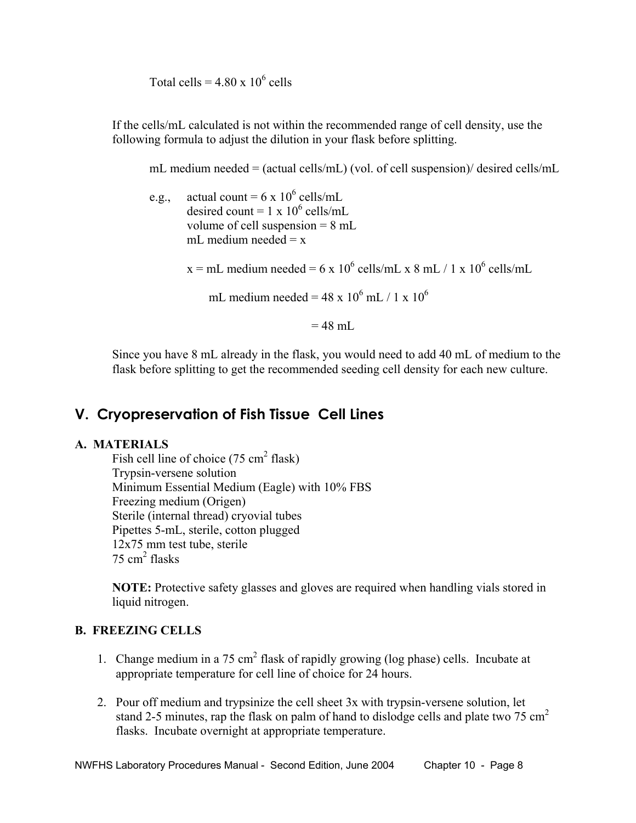Total cells =  $4.80 \times 10^6$  cells

If the cells/mL calculated is not within the recommended range of cell density, use the following formula to adjust the dilution in your flask before splitting.

mL medium needed = (actual cells/mL) (vol. of cell suspension)/ desired cells/mL

e.g., actual count =  $6 \times 10^6$  cells/mL desired count =  $1 \times 10^6$  cells/mL volume of cell suspension = 8 mL mL medium needed  $= x$ 

 $x = mL$  medium needed = 6 x 10<sup>6</sup> cells/mL x 8 mL / 1 x 10<sup>6</sup> cells/mL

mL medium needed =  $48 \times 10^6$  mL / 1 x  $10^6$ 

 $= 48$  mL

Since you have 8 mL already in the flask, you would need to add 40 mL of medium to the flask before splitting to get the recommended seeding cell density for each new culture.

## **V. Cryopreservation of Fish Tissue Cell Lines**

#### **A. MATERIALS**

Fish cell line of choice  $(75 \text{ cm}^2 \text{ flask})$ Trypsin-versene solution Minimum Essential Medium (Eagle) with 10% FBS Freezing medium (Origen) Sterile (internal thread) cryovial tubes Pipettes 5-mL, sterile, cotton plugged 12x75 mm test tube, sterile  $75 \text{ cm}^2$  flasks

**NOTE:** Protective safety glasses and gloves are required when handling vials stored in liquid nitrogen.

#### **B. FREEZING CELLS**

- 1. Change medium in a 75 cm<sup>2</sup> flask of rapidly growing (log phase) cells. Incubate at appropriate temperature for cell line of choice for 24 hours.
	- 2. Pour off medium and trypsinize the cell sheet 3x with trypsin-versene solution, let stand 2-5 minutes, rap the flask on palm of hand to dislodge cells and plate two 75  $\text{cm}^2$ flasks. Incubate overnight at appropriate temperature.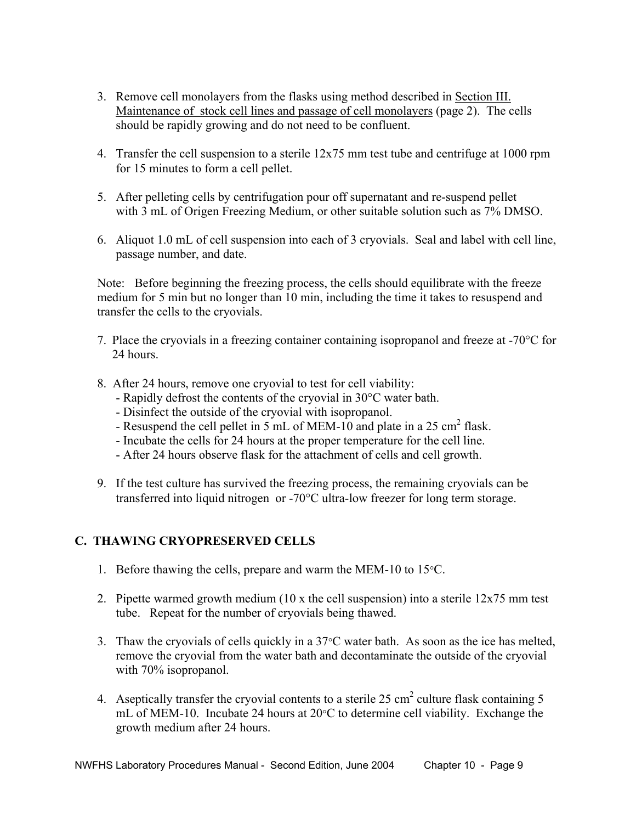- 3. Remove cell monolayers from the flasks using method described in Section III. Maintenance of stock cell lines and passage of cell monolayers (page 2). The cells should be rapidly growing and do not need to be confluent.
- 4. Transfer the cell suspension to a sterile 12x75 mm test tube and centrifuge at 1000 rpm for 15 minutes to form a cell pellet.
- 5. After pelleting cells by centrifugation pour off supernatant and re-suspend pellet with 3 mL of Origen Freezing Medium, or other suitable solution such as 7% DMSO.
- 6. Aliquot 1.0 mL of cell suspension into each of 3 cryovials. Seal and label with cell line, passage number, and date.

 Note: Before beginning the freezing process, the cells should equilibrate with the freeze medium for 5 min but no longer than 10 min, including the time it takes to resuspend and transfer the cells to the cryovials.

- 7. Place the cryovials in a freezing container containing isopropanol and freeze at -70°C for 24 hours.
- 8. After 24 hours, remove one cryovial to test for cell viability:
	- Rapidly defrost the contents of the cryovial in 30°C water bath.
	- Disinfect the outside of the cryovial with isopropanol.
- Resuspend the cell pellet in 5 mL of MEM-10 and plate in a 25 cm<sup>2</sup> flask.
	- Incubate the cells for 24 hours at the proper temperature for the cell line.
	- After 24 hours observe flask for the attachment of cells and cell growth.
	- 9. If the test culture has survived the freezing process, the remaining cryovials can be transferred into liquid nitrogen or -70°C ultra-low freezer for long term storage.

### **C. THAWING CRYOPRESERVED CELLS**

- 1. Before thawing the cells, prepare and warm the MEM-10 to 15°C.
- 2. Pipette warmed growth medium  $(10 \times$  the cell suspension) into a sterile  $12x75$  mm test tube. Repeat for the number of cryovials being thawed.
- 3. Thaw the cryovials of cells quickly in a  $37^{\circ}$ C water bath. As soon as the ice has melted, remove the cryovial from the water bath and decontaminate the outside of the cryovial with 70% isopropanol.
- 4. Aseptically transfer the cryovial contents to a sterile  $25 \text{ cm}^2$  culture flask containing 5 mL of MEM-10. Incubate 24 hours at 20°C to determine cell viability. Exchange the growth medium after 24 hours.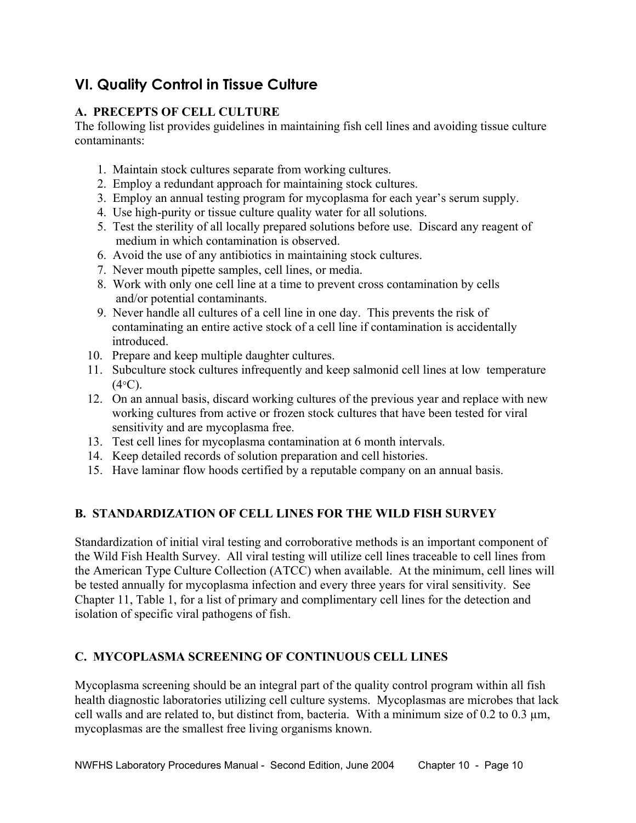## **VI. Quality Control in Tissue Culture**

## **A. PRECEPTS OF CELL CULTURE**

The following list provides guidelines in maintaining fish cell lines and avoiding tissue culture contaminants:

- 1. Maintain stock cultures separate from working cultures.
- 2. Employ a redundant approach for maintaining stock cultures.
- 3. Employ an annual testing program for mycoplasma for each year's serum supply.
- 4. Use high-purity or tissue culture quality water for all solutions.
- 5. Test the sterility of all locally prepared solutions before use. Discard any reagent of medium in which contamination is observed.
- 6. Avoid the use of any antibiotics in maintaining stock cultures.
- 7. Never mouth pipette samples, cell lines, or media.
- 8. Work with only one cell line at a time to prevent cross contamination by cells and/or potential contaminants.
- 9. Never handle all cultures of a cell line in one day. This prevents the risk of contaminating an entire active stock of a cell line if contamination is accidentally introduced.
- 10. Prepare and keep multiple daughter cultures.
- 11. Subculture stock cultures infrequently and keep salmonid cell lines at low temperature  $(4^{\circ}C)$ .
- 12. On an annual basis, discard working cultures of the previous year and replace with new working cultures from active or frozen stock cultures that have been tested for viral sensitivity and are mycoplasma free.
- 13. Test cell lines for mycoplasma contamination at 6 month intervals.
- 14. Keep detailed records of solution preparation and cell histories.
- 15. Have laminar flow hoods certified by a reputable company on an annual basis.

## **B. STANDARDIZATION OF CELL LINES FOR THE WILD FISH SURVEY**

Standardization of initial viral testing and corroborative methods is an important component of the Wild Fish Health Survey. All viral testing will utilize cell lines traceable to cell lines from the American Type Culture Collection (ATCC) when available. At the minimum, cell lines will be tested annually for mycoplasma infection and every three years for viral sensitivity. See Chapter 11, Table 1, for a list of primary and complimentary cell lines for the detection and isolation of specific viral pathogens of fish.

## **C. MYCOPLASMA SCREENING OF CONTINUOUS CELL LINES**

Mycoplasma screening should be an integral part of the quality control program within all fish health diagnostic laboratories utilizing cell culture systems. Mycoplasmas are microbes that lack cell walls and are related to, but distinct from, bacteria. With a minimum size of  $0.2$  to  $0.3 \mu m$ , mycoplasmas are the smallest free living organisms known.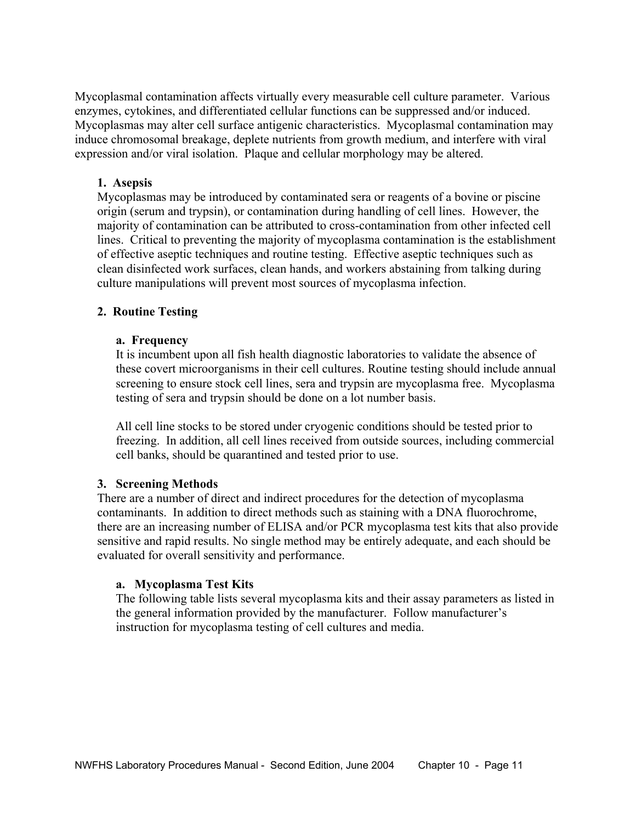Mycoplasmal contamination affects virtually every measurable cell culture parameter. Various enzymes, cytokines, and differentiated cellular functions can be suppressed and/or induced. Mycoplasmas may alter cell surface antigenic characteristics. Mycoplasmal contamination may induce chromosomal breakage, deplete nutrients from growth medium, and interfere with viral expression and/or viral isolation. Plaque and cellular morphology may be altered.

#### **1. Asepsis**

Mycoplasmas may be introduced by contaminated sera or reagents of a bovine or piscine origin (serum and trypsin), or contamination during handling of cell lines. However, the majority of contamination can be attributed to cross-contamination from other infected cell lines. Critical to preventing the majority of mycoplasma contamination is the establishment of effective aseptic techniques and routine testing. Effective aseptic techniques such as clean disinfected work surfaces, clean hands, and workers abstaining from talking during culture manipulations will prevent most sources of mycoplasma infection.

#### **2. Routine Testing**

#### **a. Frequency**

It is incumbent upon all fish health diagnostic laboratories to validate the absence of these covert microorganisms in their cell cultures. Routine testing should include annual screening to ensure stock cell lines, sera and trypsin are mycoplasma free. Mycoplasma testing of sera and trypsin should be done on a lot number basis.

All cell line stocks to be stored under cryogenic conditions should be tested prior to freezing. In addition, all cell lines received from outside sources, including commercial cell banks, should be quarantined and tested prior to use.

#### **3. Screening Methods**

There are a number of direct and indirect procedures for the detection of mycoplasma contaminants. In addition to direct methods such as staining with a DNA fluorochrome, there are an increasing number of ELISA and/or PCR mycoplasma test kits that also provide sensitive and rapid results. No single method may be entirely adequate, and each should be evaluated for overall sensitivity and performance.

#### **a. Mycoplasma Test Kits**

The following table lists several mycoplasma kits and their assay parameters as listed in the general information provided by the manufacturer. Follow manufacturer's instruction for mycoplasma testing of cell cultures and media.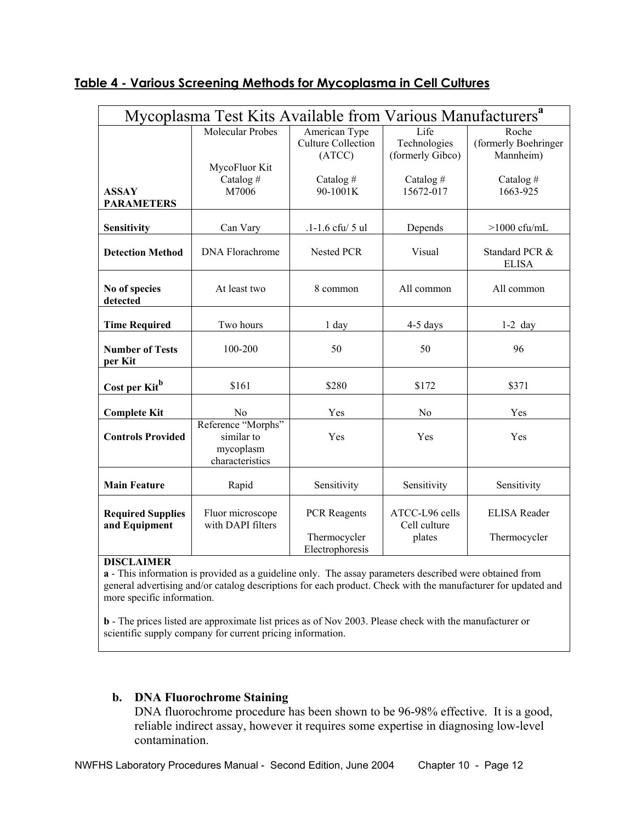|                                           | Mycoplasma Test Kits Available from Various Manufacturers <sup>a</sup> |                                                        |                                          |                                            |
|-------------------------------------------|------------------------------------------------------------------------|--------------------------------------------------------|------------------------------------------|--------------------------------------------|
|                                           | <b>Molecular Probes</b>                                                | American Type<br><b>Culture Collection</b><br>(ATCC)   | Life<br>Technologies<br>(formerly Gibco) | Roche<br>(formerly Boehringer<br>Mannheim) |
| <b>ASSAY</b><br><b>PARAMETERS</b>         | MycoFluor Kit<br>Catalog#<br>M7006                                     | Catalog#<br>90-1001K                                   | Catalog#<br>15672-017                    | Catalog#<br>1663-925                       |
| Sensitivity                               | Can Vary                                                               | .1-1.6 cfu/ 5 ul                                       | Depends                                  | $>1000$ cfu/mL                             |
| <b>Detection Method</b>                   | <b>DNA</b> Florachrome                                                 | <b>Nested PCR</b>                                      | Visual                                   | Standard PCR &<br><b>ELISA</b>             |
| No of species<br>detected                 | At least two                                                           | 8 common                                               | All common                               | All common                                 |
| <b>Time Required</b>                      | Two hours                                                              | 1 day                                                  | 4-5 days                                 | $1-2$ day                                  |
| <b>Number of Tests</b><br>per Kit         | 100-200                                                                | 50                                                     | 50                                       | 96                                         |
| Cost per Kit <sup>b</sup>                 | \$161                                                                  | \$280                                                  | \$172                                    | \$371                                      |
| <b>Complete Kit</b>                       | N <sub>0</sub>                                                         | Yes                                                    | N <sub>0</sub>                           | Yes                                        |
| <b>Controls Provided</b>                  | Reference "Morphs"<br>similar to<br>mycoplasm<br>characteristics       | Yes                                                    | Yes                                      | Yes                                        |
| <b>Main Feature</b>                       | Rapid                                                                  | Sensitivity                                            | Sensitivity                              | Sensitivity                                |
| <b>Required Supplies</b><br>and Equipment | Fluor microscope<br>with DAPI filters                                  | <b>PCR</b> Reagents<br>Thermocycler<br>Electrophoresis | ATCC-L96 cells<br>Cell culture<br>plates | <b>ELISA Reader</b><br>Thermocycler        |

## **Table 4 - Various Screening Methods for Mycoplasma in Cell Cultures**

#### **DISCLAIMER**

**a** - This information is provided as a guideline only. The assay parameters described were obtained from general advertising and/or catalog descriptions for each product. Check with the manufacturer for updated and more specific information.

**b** - The prices listed are approximate list prices as of Nov 2003. Please check with the manufacturer or scientific supply company for current pricing information.

### **b. DNA Fluorochrome Staining**

DNA fluorochrome procedure has been shown to be 96-98% effective. It is a good, reliable indirect assay, however it requires some expertise in diagnosing low-level contamination.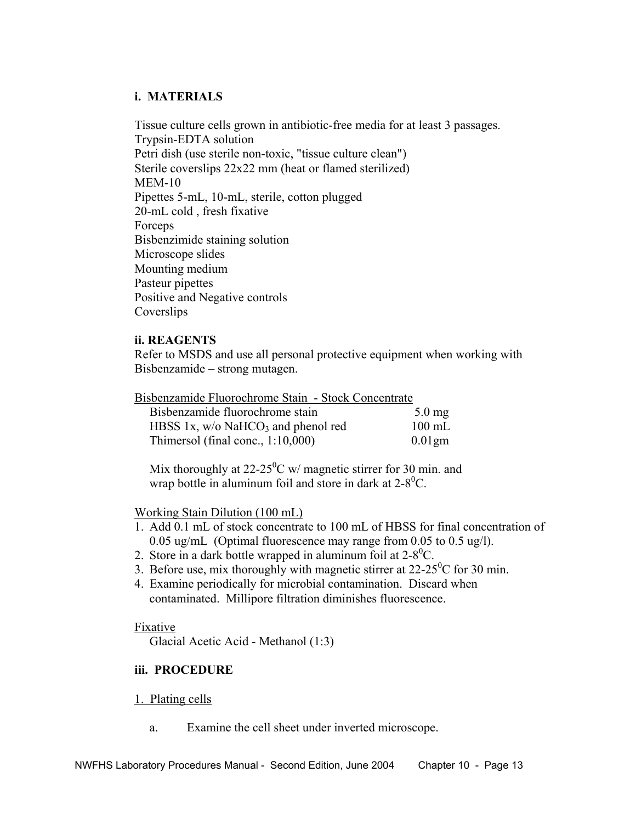#### **i. MATERIALS**

 Tissue culture cells grown in antibiotic-free media for at least 3 passages. Trypsin-EDTA solution Petri dish (use sterile non-toxic, "tissue culture clean") Sterile coverslips 22x22 mm (heat or flamed sterilized) MEM-10 Pipettes 5-mL, 10-mL, sterile, cotton plugged 20-mL cold , fresh fixative Forceps Bisbenzimide staining solution Microscope slides Mounting medium Pasteur pipettes Positive and Negative controls Coverslips

#### **ii. REAGENTS**

 Refer to MSDS and use all personal protective equipment when working with Bisbenzamide – strong mutagen.

| Bisbenzamide Fluorochrome Stain - Stock Concentrate |  |  |
|-----------------------------------------------------|--|--|
|-----------------------------------------------------|--|--|

| Bisbenzamide fluorochrome stain                  | $5.0 \text{ mg}$ |
|--------------------------------------------------|------------------|
| HBSS 1x, $w/o$ NaHCO <sub>3</sub> and phenol red | $100 \text{ mL}$ |
| Thimersol (final conc., $1:10,000$ )             | $0.01$ gm        |

Mix thoroughly at 22-25<sup>0</sup>C w/ magnetic stirrer for 30 min. and wrap bottle in aluminum foil and store in dark at  $2-8^0C$ .

Working Stain Dilution (100 mL)

- 1. Add 0.1 mL of stock concentrate to 100 mL of HBSS for final concentration of 0.05 ug/mL (Optimal fluorescence may range from 0.05 to 0.5 ug/l).
- 2. Store in a dark bottle wrapped in aluminum foil at  $2-8^{\circ}$ C.
- 3. Before use, mix thoroughly with magnetic stirrer at  $22{\text -}25^0C$  for 30 min.
	- 4. Examine periodically for microbial contamination. Discard when contaminated. Millipore filtration diminishes fluorescence.

#### Fixative

Glacial Acetic Acid - Methanol (1:3)

#### **iii. PROCEDURE**

#### 1. Plating cells

a. Examine the cell sheet under inverted microscope.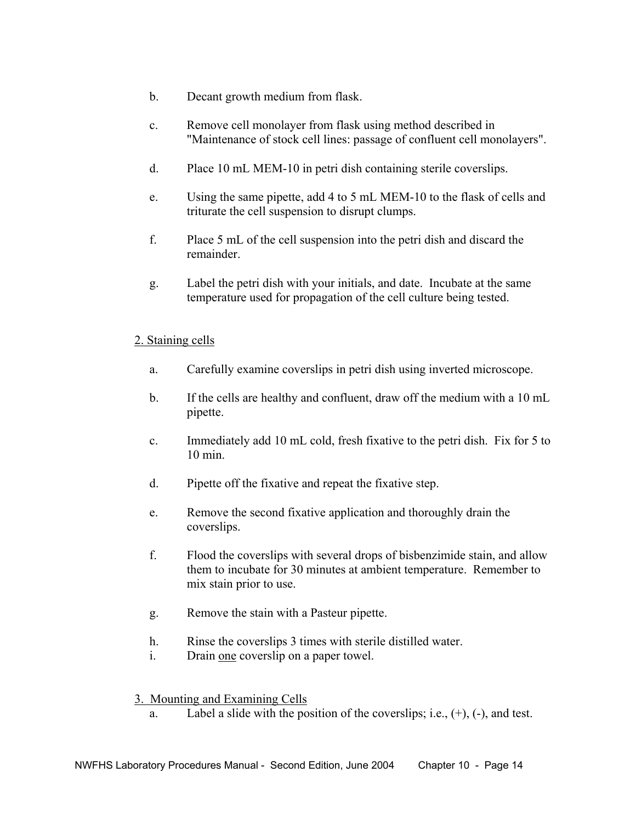- b. Decant growth medium from flask.
- c. Remove cell monolayer from flask using method described in "Maintenance of stock cell lines: passage of confluent cell monolayers".
- d. Place 10 mL MEM-10 in petri dish containing sterile coverslips.
- e. Using the same pipette, add 4 to 5 mL MEM-10 to the flask of cells and triturate the cell suspension to disrupt clumps.
- f. Place 5 mL of the cell suspension into the petri dish and discard the remainder.
- g. Label the petri dish with your initials, and date. Incubate at the same temperature used for propagation of the cell culture being tested.

#### 2. Staining cells

- a. Carefully examine coverslips in petri dish using inverted microscope.
- b. If the cells are healthy and confluent, draw off the medium with a 10 mL pipette.
- c. Immediately add 10 mL cold, fresh fixative to the petri dish. Fix for 5 to 10 min.
- d. Pipette off the fixative and repeat the fixative step.
- e. Remove the second fixative application and thoroughly drain the coverslips.
- f. Flood the coverslips with several drops of bisbenzimide stain, and allow them to incubate for 30 minutes at ambient temperature. Remember to mix stain prior to use.
- g. Remove the stain with a Pasteur pipette.
- h. Rinse the coverslips 3 times with sterile distilled water.
- i. Drain one coverslip on a paper towel.
- 3. Mounting and Examining Cells
	- a. Label a slide with the position of the coverslips; i.e.,  $(+)$ ,  $(-)$ , and test.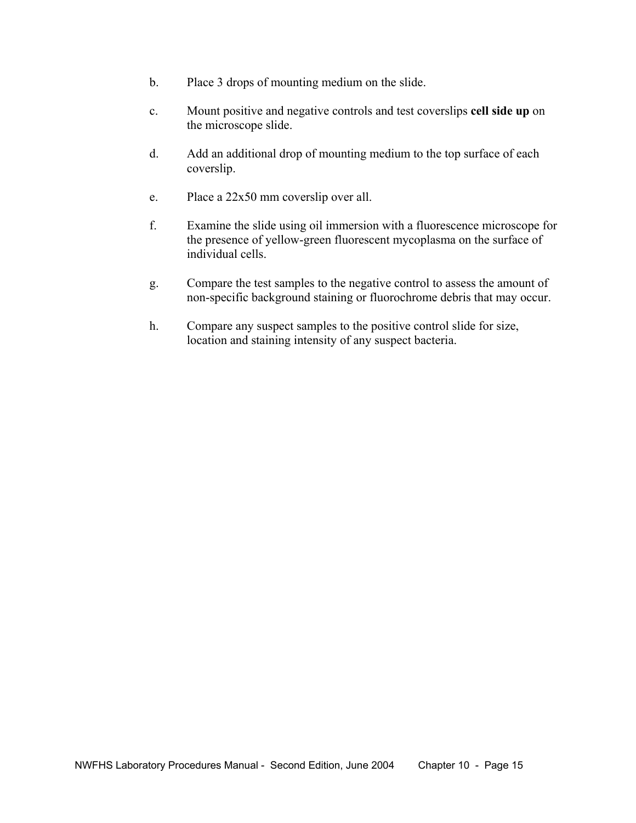- b. Place 3 drops of mounting medium on the slide.
- c. Mount positive and negative controls and test coverslips **cell side up** on the microscope slide.
- d. Add an additional drop of mounting medium to the top surface of each coverslip.
- e. Place a 22x50 mm coverslip over all.
- f. Examine the slide using oil immersion with a fluorescence microscope for the presence of yellow-green fluorescent mycoplasma on the surface of individual cells.
- g. Compare the test samples to the negative control to assess the amount of non-specific background staining or fluorochrome debris that may occur.
- h. Compare any suspect samples to the positive control slide for size, location and staining intensity of any suspect bacteria.